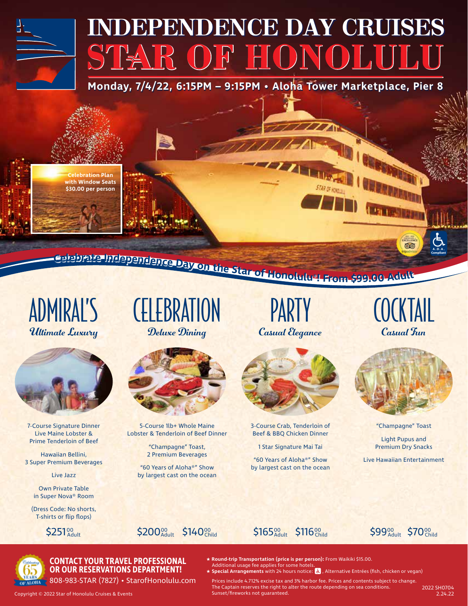# **INDEPENDENCE DAY CRUISES** STAR OF HONOLULU

**Monday, 7/4/22, 6:15PM – 9:15PM • Aloha Tower Marketplace, Pier 8**

**Celebration Plan with Window Seats \$30.00 per person**

ealabrate Independence Day on the Star of Honolulus! From \$99.00 Adult

ADMIRAL'S<br>Ultimate Luxury



7-Course Signature Dinner Live Maine Lobster & Prime Tenderloin of Beef

Hawaiian Bellini, 3 Super Premium Beverages

Live Jazz

Own Private Table in Super Nova® Room

(Dress Code: No shorts, T-shirts or flip flops)







5-Course 1lb+ Whole Maine Lobster & Tenderloin of Beef Dinner

> "Champagne" Toast, 2 Premium Beverages

"60 Years of Aloha®" Show by largest cast on the ocean

**Deluxe Dining Casual Elegance** Casual Tun

**AZERIKA** 



3-Course Crab, Tenderloin of Beef & BBQ Chicken Dinner

1 Star Signature Mai Tai

"60 Years of Aloha®" Show by largest cast on the ocean

**QO** 

**RUTE** 

**A.D.A. Compliant**



"Champagne" Toast

Light Pupus and Premium Dry Snacks

Live Hawaiian Entertainment



#### **CONTACT YOUR TRAVEL PROFESSIONAL OR OUR RESERVATIONS DEPARTMENT!**

808-983-STAR (7827) • StarofHonolulu.com

★ **Round-trip Transportation (price is per person):** From Waikiki \$15.00. Additional usage fee applies for some hotels.

★ Special Arrangements with 24 hours notice: <mark>よ</mark> , Alternative Entrées (fish, chicken or vegan)

00 **\$165** Show \$116<sup>00</sup> Child \$99<sup>00</sup> Adult \$70<sup>00</sup> Child

Prices include 4.712% excise tax and 3% harbor fee. Prices and contents subject to change. The Captain reserves the right to alter the route depending on sea conditions. Sunset/fireworks not guaranteed.

Copyright © 2022 Star of Honolulu Cruises & Events

2022 SH0704<br>2.24.22